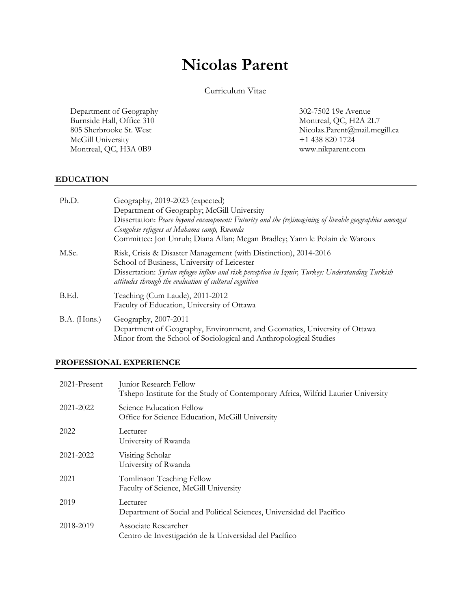# **Nicolas Parent**

Curriculum Vitae

Department of Geography Burnside Hall, Office 310 805 Sherbrooke St. West McGill University Montreal, QC, H3A 0B9

302-7502 19e Avenue Montreal, QC, H2A 2L7 Nicolas.Parent@mail.mcgill.ca +1 438 820 1724 www.nikparent.com

#### **EDUCATION**

| Ph.D.          | Geography, 2019-2023 (expected)                                                                                                                                                                                                                                              |
|----------------|------------------------------------------------------------------------------------------------------------------------------------------------------------------------------------------------------------------------------------------------------------------------------|
|                | Department of Geography; McGill University                                                                                                                                                                                                                                   |
|                | Dissertation: Peace beyond encampment: Futurity and the (re)imagining of liveable geographies amongst<br>Congolese refugees at Mahama camp, Rwanda                                                                                                                           |
|                | Committee: Jon Unruh; Diana Allan; Megan Bradley; Yann le Polain de Waroux                                                                                                                                                                                                   |
| M.Sc.          | Risk, Crisis & Disaster Management (with Distinction), 2014-2016<br>School of Business, University of Leicester<br>Dissertation: Syrian refugee inflow and risk perception in Izmir, Turkey: Understanding Turkish<br>attitudes through the evaluation of cultural cognition |
| B.Ed.          | Teaching (Cum Laude), 2011-2012<br>Faculty of Education, University of Ottawa                                                                                                                                                                                                |
| $B.A.$ (Hons.) | Geography, 2007-2011<br>Department of Geography, Environment, and Geomatics, University of Ottawa<br>Minor from the School of Sociological and Anthropological Studies                                                                                                       |

#### **PROFESSIONAL EXPERIENCE**

| 2021-Present | Junior Research Fellow<br>Tshepo Institute for the Study of Contemporary Africa, Wilfrid Laurier University |
|--------------|-------------------------------------------------------------------------------------------------------------|
| 2021-2022    | Science Education Fellow<br>Office for Science Education, McGill University                                 |
| 2022         | Lecturer<br>University of Rwanda                                                                            |
| 2021-2022    | Visiting Scholar<br>University of Rwanda                                                                    |
| 2021         | Tomlinson Teaching Fellow<br>Faculty of Science, McGill University                                          |
| 2019         | Lecturer<br>Department of Social and Political Sciences, Universidad del Pacífico                           |
| 2018-2019    | Associate Researcher<br>Centro de Investigación de la Universidad del Pacífico                              |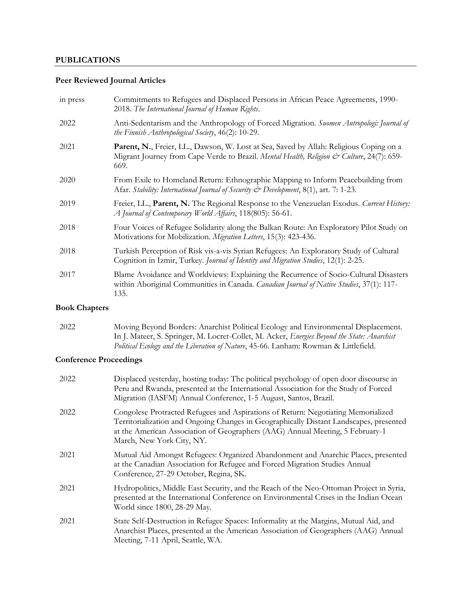### **PUBLICATIONS**

## **Peer Reviewed Journal Articles**

| in press | Commitments to Refugees and Displaced Persons in African Peace Agreements, 1990-<br>2018. The International Journal of Human Rights.                                                         |
|----------|----------------------------------------------------------------------------------------------------------------------------------------------------------------------------------------------|
| 2022     | Anti-Sedentarism and the Anthropology of Forced Migration. Suomen Antropologi: Journal of<br>the Finnish Anthropological Society, 46(2): 10-29.                                              |
| 2021     | Parent, N., Freier, L.L., Dawson, W. Lost at Sea, Saved by Allah: Religious Coping on a<br>Migrant Journey from Cape Verde to Brazil. Mental Health, Religion & Culture, 24(7): 659-<br>669. |
| 2020     | From Exile to Homeland Return: Ethnographic Mapping to Inform Peacebuilding from<br>Afar. Stability: International Journal of Security & Development, 8(1), art. 7: 1-23.                    |
| 2019     | Freier, LL., Parent, N. The Regional Response to the Venezuelan Exodus. Current History:<br>A Journal of Contemporary World Affairs, 118(805): 56-61.                                        |
| 2018     | Four Voices of Refugee Solidarity along the Balkan Route: An Exploratory Pilot Study on<br>Motivations for Mobilization. Migration Letters, 15(3): 423-436.                                  |
| 2018     | Turkish Perception of Risk vis-a-vis Syrian Refugees: An Exploratory Study of Cultural<br>Cognition in Izmir, Turkey. Journal of Identity and Migration Studies, 12(1): 2-25.                |
| 2017     | Blame Avoidance and Worldviews: Explaining the Recurrence of Socio-Cultural Disasters<br>within Aboriginal Communities in Canada. Canadian Journal of Native Studies, 37(1): 117-<br>135.    |

## **Book Chapters**

| 2022 | Moving Beyond Borders: Anarchist Political Ecology and Environmental Displacement.                 |
|------|----------------------------------------------------------------------------------------------------|
|      | In J. Mateer, S. Springer, M. Locret-Collet, M. Acker, <i>Energies Beyond the State: Anarchist</i> |
|      | Political Ecology and the Liberation of Nature, 45-66. Lanham: Rowman & Littlefield.               |

## **Conference Proceedings**

| 2022 | Displaced yesterday, hosting today: The political psychology of open door discourse in<br>Peru and Rwanda, presented at the International Association for the Study of Forced<br>Migration (IASFM) Annual Conference, 1-5 August, Santos, Brazil.                                         |
|------|-------------------------------------------------------------------------------------------------------------------------------------------------------------------------------------------------------------------------------------------------------------------------------------------|
| 2022 | Congolese Protracted Refugees and Aspirations of Return: Negotiating Memorialized<br>Territorialization and Ongoing Changes in Geographically Distant Landscapes, presented<br>at the American Association of Geographers (AAG) Annual Meeting, 5 February-1<br>March, New York City, NY. |
| 2021 | Mutual Aid Amongst Refugees: Organized Abandonment and Anarchic Places, presented<br>at the Canadian Association for Refugee and Forced Migration Studies Annual<br>Conference, 27-29 October, Regina, SK.                                                                                |
| 2021 | Hydropolitics, Middle East Security, and the Reach of the Neo-Ottoman Project in Syria,<br>presented at the International Conference on Environmental Crises in the Indian Ocean<br>World since 1800, 28-29 May.                                                                          |
| 2021 | State Self-Destruction in Refugee Spaces: Informality at the Margins, Mutual Aid, and<br>Anarchist Places, presented at the American Association of Geographers (AAG) Annual<br>Meeting, 7-11 April, Seattle, WA.                                                                         |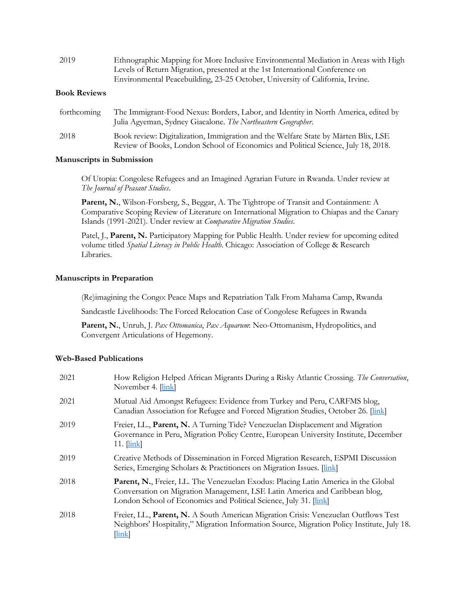| 2019         | Ethnographic Mapping for More Inclusive Environmental Mediation in Areas with High |
|--------------|------------------------------------------------------------------------------------|
|              | Levels of Return Migration, presented at the 1st International Conference on       |
|              | Environmental Peacebuilding, 23-25 October, University of California, Irvine.      |
| D. 1 D. L. . |                                                                                    |

#### **Book Reviews**

| forthcoming | The Immigrant-Food Nexus: Borders, Labor, and Identity in North America, edited by<br>Julia Agyeman, Sydney Giacalone. The Northeastern Geographer.                     |
|-------------|-------------------------------------------------------------------------------------------------------------------------------------------------------------------------|
| 2018        | Book review: Digitalization, Immigration and the Welfare State by Mårten Blix, LSE<br>Review of Books, London School of Economics and Political Science, July 18, 2018. |

#### **Manuscripts in Submission**

Of Utopia: Congolese Refugees and an Imagined Agrarian Future in Rwanda. Under review at *The Journal of Peasant Studies*.

Parent, N., Wilson-Forsberg, S., Beggar, A. The Tightrope of Transit and Containment: A Comparative Scoping Review of Literature on International Migration to Chiapas and the Canary Islands (1991-2021). Under review at *Comparative Migration Studies*.

Patel, J., **Parent, N.** Participatory Mapping for Public Health. Under review for upcoming edited volume titled *Spatial Literacy in Public Health*. Chicago: Association of College & Research Libraries.

#### **Manuscripts in Preparation**

(Re)imagining the Congo: Peace Maps and Repatriation Talk From Mahama Camp, Rwanda

Sandcastle Livelihoods: The Forced Relocation Case of Congolese Refugees in Rwanda

**Parent, N.**, Unruh, J. *Pax Ottomanica*, *Pax Aquarum*: Neo-Ottomanism, Hydropolitics, and Convergent Articulations of Hegemony.

#### **Web-Based Publications**

| 2021 | How Religion Helped African Migrants During a Risky Atlantic Crossing. The Conversation,<br>November 4. [link]                                                                                                                         |
|------|----------------------------------------------------------------------------------------------------------------------------------------------------------------------------------------------------------------------------------------|
| 2021 | Mutual Aid Amongst Refugees: Evidence from Turkey and Peru, CARFMS blog,<br>Canadian Association for Refugee and Forced Migration Studies, October 26. [link]                                                                          |
| 2019 | Freier, LL., Parent, N. A Turning Tide? Venezuelan Displacement and Migration<br>Governance in Peru, Migration Policy Centre, European University Institute, December<br>$11.$ $\lfloor \frac{\text{link}}{\text{link}} \rfloor$       |
| 2019 | Creative Methods of Dissemination in Forced Migration Research, ESPMI Discussion<br>Series, Emerging Scholars & Practitioners on Migration Issues. [link]                                                                              |
| 2018 | Parent, N., Freier, LL. The Venezuelan Exodus: Placing Latin America in the Global<br>Conversation on Migration Management, LSE Latin America and Caribbean blog,<br>London School of Economics and Political Science, July 31. [link] |
| 2018 | Freier, LL., Parent, N. A South American Migration Crisis: Venezuelan Outflows Test<br>Neighbors' Hospitality," Migration Information Source, Migration Policy Institute, July 18.<br>$[\ln k]$                                        |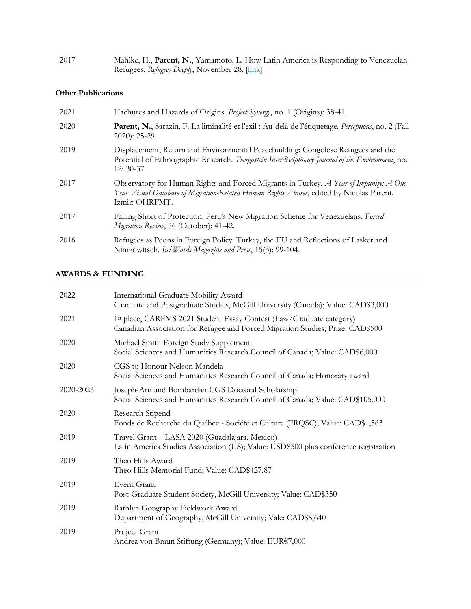| 2017 | Mahlke, H., Parent, N., Yamamoto, L. How Latin America is Responding to Venezuelan |
|------|------------------------------------------------------------------------------------|
|      | Refugees, Refugees Deeply, November 28. [link]                                     |

#### **Other Publications**

| 2021 | Hachures and Hazards of Origins. Project Synergy, no. 1 (Origins): 38-41.                                                                                                                            |
|------|------------------------------------------------------------------------------------------------------------------------------------------------------------------------------------------------------|
| 2020 | Parent, N., Sarazin, F. La liminalité et l'exil : Au-delà de l'étiquetage. Perceptions, no. 2 (Fall<br>2020): 25-29.                                                                                 |
| 2019 | Displacement, Return and Environmental Peacebuilding: Congolese Refugees and the<br>Potential of Ethnographic Research. Tvergastein Interdisciplinary Journal of the Environment, no.<br>$12:30-37.$ |
| 2017 | Observatory for Human Rights and Forced Migrants in Turkey. A Year of Impunity: A One<br>Year Visual Database of Migration-Related Human Rights Abuses, edited by Nicolas Parent.<br>Izmir: OHRFMT.  |
| 2017 | Falling Short of Protection: Peru's New Migration Scheme for Venezuelans. Forced<br>Migration Review, 56 (October): 41-42.                                                                           |
| 2016 | Refugees as Peons in Foreign Policy: Turkey, the EU and Reflections of Lasker and<br>Nimzowitsch. In/Words Magazine and Press, 15(3): 99-104.                                                        |

## **AWARDS & FUNDING**

| 2022      | International Graduate Mobility Award<br>Graduate and Postgraduate Studies, McGill University (Canada); Value: CAD\$3,000                              |
|-----------|--------------------------------------------------------------------------------------------------------------------------------------------------------|
| 2021      | 1st place, CARFMS 2021 Student Essay Contest (Law/Graduate category)<br>Canadian Association for Refugee and Forced Migration Studies; Prize: CAD\$500 |
| 2020      | Michael Smith Foreign Study Supplement<br>Social Sciences and Humanities Research Council of Canada; Value: CAD\$6,000                                 |
| 2020      | CGS to Honour Nelson Mandela<br>Social Sciences and Humanities Research Council of Canada; Honorary award                                              |
| 2020-2023 | Joseph-Armand Bombardier CGS Doctoral Scholarship<br>Social Sciences and Humanities Research Council of Canada; Value: CAD\$105,000                    |
| 2020      | Research Stipend<br>Fonds de Recherche du Québec - Société et Culture (FRQSC); Value: CAD\$1,563                                                       |
| 2019      | Travel Grant - LASA 2020 (Guadalajara, Mexico)<br>Latin America Studies Association (US); Value: USD\$500 plus conference registration                 |
| 2019      | Theo Hills Award<br>Theo Hills Memorial Fund; Value: CAD\$427.87                                                                                       |
| 2019      | <b>Event Grant</b><br>Post-Graduate Student Society, McGill University; Value: CAD\$350                                                                |
| 2019      | Rathlyn Geography Fieldwork Award<br>Department of Geography, McGill University; Vale: CAD\$8,640                                                      |
| 2019      | Project Grant<br>Andrea von Braun Stiftung (Germany); Value: EUR€7,000                                                                                 |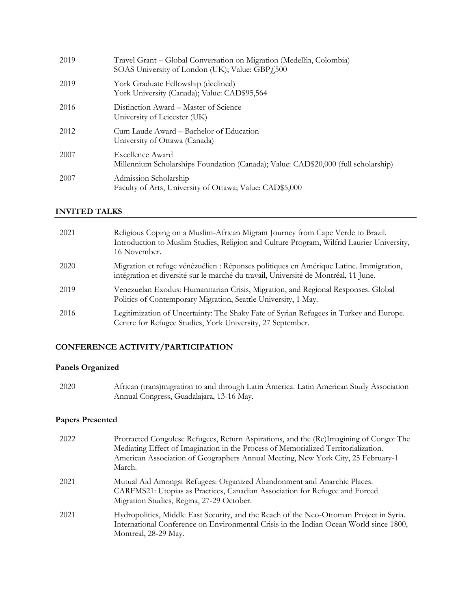| 2019 | Travel Grant – Global Conversation on Migration (Medellín, Colombia)<br>SOAS University of London (UK); Value: GBP <sub>4</sub> 500 |
|------|-------------------------------------------------------------------------------------------------------------------------------------|
| 2019 | York Graduate Fellowship (declined)<br>York University (Canada); Value: CAD\$95,564                                                 |
| 2016 | Distinction Award – Master of Science<br>University of Leicester (UK)                                                               |
| 2012 | Cum Laude Award – Bachelor of Education<br>University of Ottawa (Canada)                                                            |
| 2007 | Excellence Award<br>Millennium Scholarships Foundation (Canada); Value: CAD\$20,000 (full scholarship)                              |
| 2007 | Admission Scholarship<br>Faculty of Arts, University of Ottawa; Value: CAD\$5,000                                                   |

#### **INVITED TALKS**

| 2021 | Religious Coping on a Muslim-African Migrant Journey from Cape Verde to Brazil.<br>Introduction to Muslim Studies, Religion and Culture Program, Wilfrid Laurier University,<br>16 November. |
|------|----------------------------------------------------------------------------------------------------------------------------------------------------------------------------------------------|
| 2020 | Migration et refuge vénézuélien : Réponses politiques en Amérique Latine. Immigration,<br>intégration et diversité sur le marché du travail, Université de Montréal, 11 June.                |
| 2019 | Venezuelan Exodus: Humanitarian Crisis, Migration, and Regional Responses. Global<br>Politics of Contemporary Migration, Seattle University, 1 May.                                          |
| 2016 | Legitimization of Uncertainty: The Shaky Fate of Syrian Refugees in Turkey and Europe.<br>Centre for Refugee Studies, York University, 27 September.                                         |

#### **CONFERENCE ACTIVITY/PARTICIPATION**

#### **Panels Organized**

2020 African (trans)migration to and through Latin America. Latin American Study Association Annual Congress, Guadalajara, 13-16 May.

## **Papers Presented**

| 2022 | Protracted Congolese Refugees, Return Aspirations, and the (Re)Imagining of Congo: The<br>Mediating Effect of Imagination in the Process of Memorialized Territorialization.<br>American Association of Geographers Annual Meeting, New York City, 25 February-1<br>March. |
|------|----------------------------------------------------------------------------------------------------------------------------------------------------------------------------------------------------------------------------------------------------------------------------|
| 2021 | Mutual Aid Amongst Refugees: Organized Abandonment and Anarchic Places.<br>CARFMS21: Utopias as Practices, Canadian Association for Refugee and Forced<br>Migration Studies, Regina, 27-29 October.                                                                        |
| 2021 | Hydropolitics, Middle East Security, and the Reach of the Neo-Ottoman Project in Syria.<br>International Conference on Environmental Crisis in the Indian Ocean World since 1800,<br>Montreal, 28-29 May.                                                                  |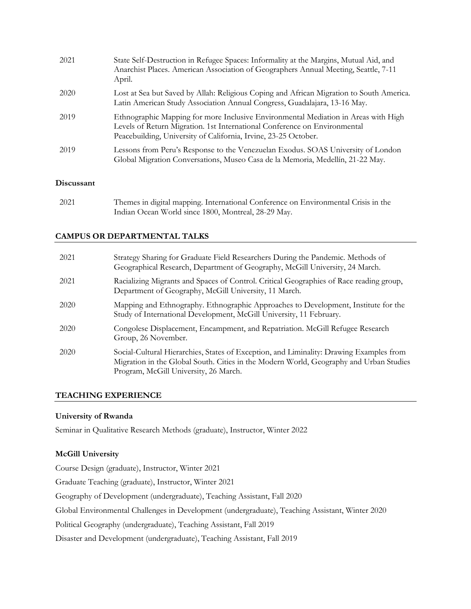| 2021 | State Self-Destruction in Refugee Spaces: Informality at the Margins, Mutual Aid, and<br>Anarchist Places. American Association of Geographers Annual Meeting, Seattle, 7-11<br>April.                                             |
|------|------------------------------------------------------------------------------------------------------------------------------------------------------------------------------------------------------------------------------------|
| 2020 | Lost at Sea but Saved by Allah: Religious Coping and African Migration to South America.<br>Latin American Study Association Annual Congress, Guadalajara, 13-16 May.                                                              |
| 2019 | Ethnographic Mapping for more Inclusive Environmental Mediation in Areas with High<br>Levels of Return Migration. 1st International Conference on Environmental<br>Peacebuilding, University of California, Irvine, 23-25 October. |
| 2019 | Lessons from Peru's Response to the Venezuelan Exodus. SOAS University of London<br>Global Migration Conversations, Museo Casa de la Memoria, Medellín, 21-22 May.                                                                 |

#### **Discussant**

2021 Themes in digital mapping. International Conference on Environmental Crisis in the Indian Ocean World since 1800, Montreal, 28-29 May.

#### **CAMPUS OR DEPARTMENTAL TALKS**

| 2021 | Strategy Sharing for Graduate Field Researchers During the Pandemic. Methods of<br>Geographical Research, Department of Geography, McGill University, 24 March.                                                            |
|------|----------------------------------------------------------------------------------------------------------------------------------------------------------------------------------------------------------------------------|
| 2021 | Racializing Migrants and Spaces of Control. Critical Geographies of Race reading group,<br>Department of Geography, McGill University, 11 March.                                                                           |
| 2020 | Mapping and Ethnography. Ethnographic Approaches to Development, Institute for the<br>Study of International Development, McGill University, 11 February.                                                                  |
| 2020 | Congolese Displacement, Encampment, and Repatriation. McGill Refugee Research<br>Group, 26 November.                                                                                                                       |
| 2020 | Social-Cultural Hierarchies, States of Exception, and Liminality: Drawing Examples from<br>Migration in the Global South. Cities in the Modern World, Geography and Urban Studies<br>Program, McGill University, 26 March. |

#### **TEACHING EXPERIENCE**

#### **University of Rwanda**

Seminar in Qualitative Research Methods (graduate), Instructor, Winter 2022

#### **McGill University**

Course Design (graduate), Instructor, Winter 2021

Graduate Teaching (graduate), Instructor, Winter 2021

Geography of Development (undergraduate), Teaching Assistant, Fall 2020

Global Environmental Challenges in Development (undergraduate), Teaching Assistant, Winter 2020

Political Geography (undergraduate), Teaching Assistant, Fall 2019

Disaster and Development (undergraduate), Teaching Assistant, Fall 2019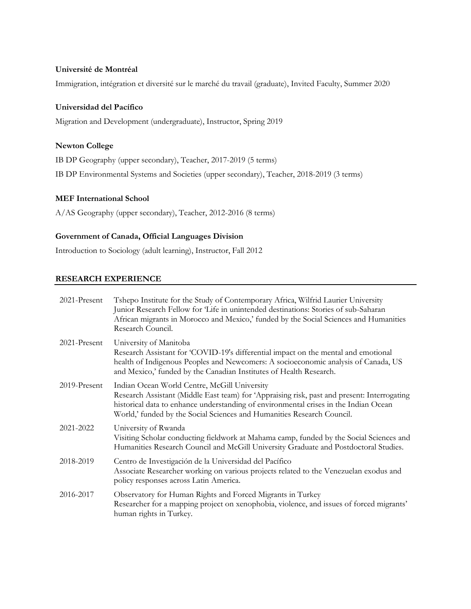#### **Université de Montréal**

Immigration, intégration et diversité sur le marché du travail (graduate), Invited Faculty, Summer 2020

#### **Universidad del Pacífico**

Migration and Development (undergraduate), Instructor, Spring 2019

#### **Newton College**

IB DP Geography (upper secondary), Teacher, 2017-2019 (5 terms)

IB DP Environmental Systems and Societies (upper secondary), Teacher, 2018-2019 (3 terms)

#### **MEF International School**

A/AS Geography (upper secondary), Teacher, 2012-2016 (8 terms)

#### **Government of Canada, Official Languages Division**

Introduction to Sociology (adult learning), Instructor, Fall 2012

#### **RESEARCH EXPERIENCE**

| 2021-Present    | Tshepo Institute for the Study of Contemporary Africa, Wilfrid Laurier University<br>Junior Research Fellow for 'Life in unintended destinations: Stories of sub-Saharan<br>African migrants in Morocco and Mexico,' funded by the Social Sciences and Humanities<br>Research Council.                        |
|-----------------|---------------------------------------------------------------------------------------------------------------------------------------------------------------------------------------------------------------------------------------------------------------------------------------------------------------|
| $2021$ -Present | University of Manitoba<br>Research Assistant for 'COVID-19's differential impact on the mental and emotional<br>health of Indigenous Peoples and Newcomers: A socioeconomic analysis of Canada, US<br>and Mexico,' funded by the Canadian Institutes of Health Research.                                      |
| 2019-Present    | Indian Ocean World Centre, McGill University<br>Research Assistant (Middle East team) for 'Appraising risk, past and present: Interrogating<br>historical data to enhance understanding of environmental crises in the Indian Ocean<br>World,' funded by the Social Sciences and Humanities Research Council. |
| 2021-2022       | University of Rwanda<br>Visiting Scholar conducting fieldwork at Mahama camp, funded by the Social Sciences and<br>Humanities Research Council and McGill University Graduate and Postdoctoral Studies.                                                                                                       |
| 2018-2019       | Centro de Investigación de la Universidad del Pacífico<br>Associate Researcher working on various projects related to the Venezuelan exodus and<br>policy responses across Latin America.                                                                                                                     |
| 2016-2017       | Observatory for Human Rights and Forced Migrants in Turkey<br>Researcher for a mapping project on xenophobia, violence, and issues of forced migrants'<br>human rights in Turkey.                                                                                                                             |
|                 |                                                                                                                                                                                                                                                                                                               |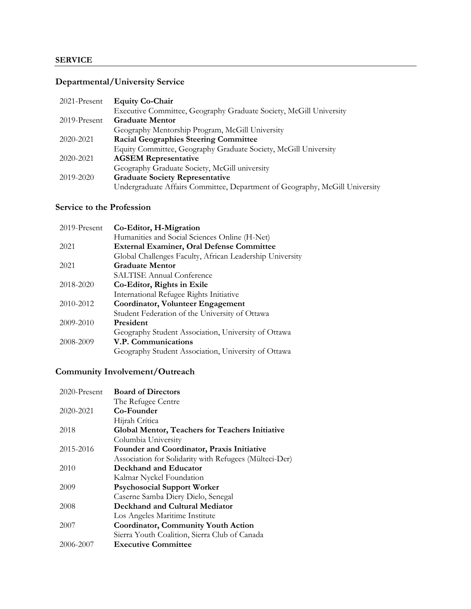#### **SERVICE**

## **Departmental/University Service**

| 2021-Present | <b>Equity Co-Chair</b>                                                      |
|--------------|-----------------------------------------------------------------------------|
|              | Executive Committee, Geography Graduate Society, McGill University          |
| 2019-Present | <b>Graduate Mentor</b>                                                      |
|              | Geography Mentorship Program, McGill University                             |
| 2020-2021    | <b>Racial Geographies Steering Committee</b>                                |
|              | Equity Committee, Geography Graduate Society, McGill University             |
| 2020-2021    | <b>AGSEM Representative</b>                                                 |
|              | Geography Graduate Society, McGill university                               |
| 2019-2020    | <b>Graduate Society Representative</b>                                      |
|              | Undergraduate Affairs Committee, Department of Geography, McGill University |

## **Service to the Profession**

| 2019-Present | Co-Editor, H-Migration                                   |
|--------------|----------------------------------------------------------|
|              | Humanities and Social Sciences Online (H-Net)            |
| 2021         | <b>External Examiner, Oral Defense Committee</b>         |
|              | Global Challenges Faculty, African Leadership University |
| 2021         | <b>Graduate Mentor</b>                                   |
|              | <b>SALTISE Annual Conference</b>                         |
| 2018-2020    | Co-Editor, Rights in Exile                               |
|              | International Refugee Rights Initiative                  |
| 2010-2012    | Coordinator, Volunteer Engagement                        |
|              | Student Federation of the University of Ottawa           |
| 2009-2010    | President                                                |
|              | Geography Student Association, University of Ottawa      |
| 2008-2009    | V.P. Communications                                      |
|              | Geography Student Association, University of Ottawa      |

## **Community Involvement/Outreach**

| $2020$ -Present | <b>Board of Directors</b>                              |
|-----------------|--------------------------------------------------------|
|                 | The Refugee Centre                                     |
| 2020-2021       | Co-Founder                                             |
|                 | Hijrah Crítica                                         |
| 2018            | <b>Global Mentor, Teachers for Teachers Initiative</b> |
|                 | Columbia University                                    |
| 2015-2016       | Founder and Coordinator, Praxis Initiative             |
|                 | Association for Solidarity with Refugees (Mülteci-Der) |
| 2010            | Deckhand and Educator                                  |
|                 | Kalmar Nyckel Foundation                               |
| 2009            | <b>Psychosocial Support Worker</b>                     |
|                 | Caserne Samba Diery Dielo, Senegal                     |
| 2008            | Deckhand and Cultural Mediator                         |
|                 | Los Angeles Maritime Institute                         |
| 2007            | <b>Coordinator, Community Youth Action</b>             |
|                 | Sierra Youth Coalition, Sierra Club of Canada          |
| 2006-2007       | <b>Executive Committee</b>                             |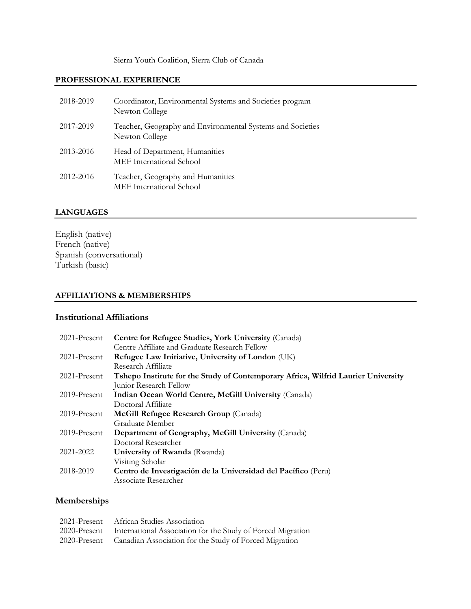Sierra Youth Coalition, Sierra Club of Canada

#### **PROFESSIONAL EXPERIENCE**

| 2018-2019 | Coordinator, Environmental Systems and Societies program<br>Newton College   |
|-----------|------------------------------------------------------------------------------|
| 2017-2019 | Teacher, Geography and Environmental Systems and Societies<br>Newton College |
| 2013-2016 | Head of Department, Humanities<br><b>MEF</b> International School            |
| 2012-2016 | Teacher, Geography and Humanities<br>MEF International School                |

#### **LANGUAGES**

English (native) French (native) Spanish (conversational) Turkish (basic)

#### **AFFILIATIONS & MEMBERSHIPS**

#### **Institutional Affiliations**

| 2021-Present    | Centre for Refugee Studies, York University (Canada)                              |
|-----------------|-----------------------------------------------------------------------------------|
|                 | Centre Affiliate and Graduate Research Fellow                                     |
| 2021-Present    | Refugee Law Initiative, University of London (UK)                                 |
|                 | Research Affiliate                                                                |
| 2021-Present    | Tshepo Institute for the Study of Contemporary Africa, Wilfrid Laurier University |
|                 | Junior Research Fellow                                                            |
| $2019$ -Present | Indian Ocean World Centre, McGill University (Canada)                             |
|                 | Doctoral Affiliate                                                                |
| $2019$ -Present | McGill Refugee Research Group (Canada)                                            |
|                 | Graduate Member                                                                   |
| $2019$ -Present | Department of Geography, McGill University (Canada)                               |
|                 | Doctoral Researcher                                                               |
| 2021-2022       | University of Rwanda (Rwanda)                                                     |
|                 | Visiting Scholar                                                                  |
| 2018-2019       | Centro de Investigación de la Universidad del Pacífico (Peru)                     |
|                 | Associate Researcher                                                              |

## **Memberships**

| 2021-Present African Studies Association                                 |
|--------------------------------------------------------------------------|
| 2020-Present International Association for the Study of Forced Migration |
| 2020-Present Canadian Association for the Study of Forced Migration      |